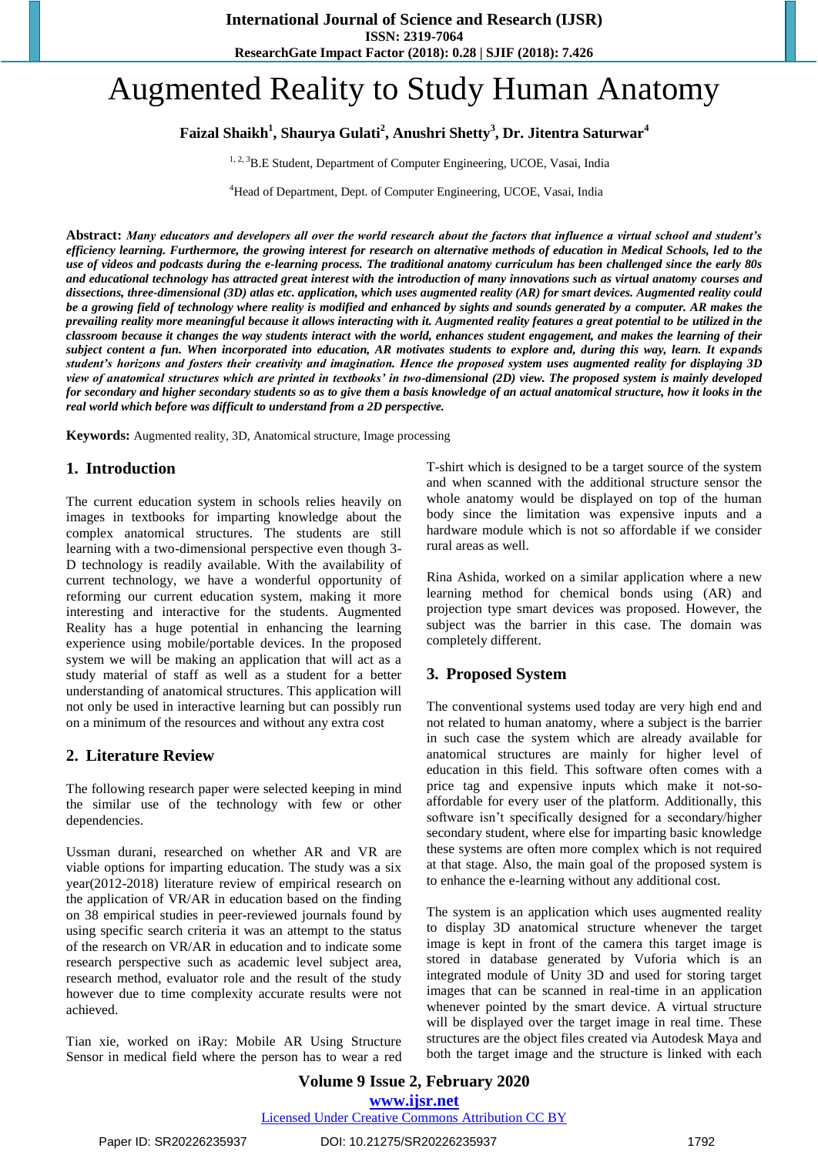# Augmented Reality to Study Human Anatomy

## **Faizal Shaikh<sup>1</sup> , Shaurya Gulati<sup>2</sup> , Anushri Shetty<sup>3</sup> , Dr. Jitentra Saturwar<sup>4</sup>**

<sup>1, 2, 3</sup>B.E Student, Department of Computer Engineering, UCOE, Vasai, India

<sup>4</sup>Head of Department, Dept. of Computer Engineering, UCOE, Vasai, India

**Abstract:** *Many educators and developers all over the world research about the factors that influence a virtual school and student's efficiency learning. Furthermore, the growing interest for research on alternative methods of education in Medical Schools, led to the use of videos and podcasts during the e-learning process. The traditional anatomy curriculum has been challenged since the early 80s and educational technology has attracted great interest with the introduction of many innovations such as virtual anatomy courses and dissections, three-dimensional (3D) atlas etc. application, which uses augmented reality (AR) for smart devices. Augmented reality could be a growing field of technology where reality is modified and enhanced by sights and sounds generated by a computer. AR makes the prevailing reality more meaningful because it allows interacting with it. Augmented reality features a great potential to be utilized in the classroom because it changes the way students interact with the world, enhances student engagement, and makes the learning of their subject content a fun. When incorporated into education, AR motivates students to explore and, during this way, learn. It expands student's horizons and fosters their creativity and imagination. Hence the proposed system uses augmented reality for displaying 3D view of anatomical structures which are printed in textbooks' in two-dimensional (2D) view. The proposed system is mainly developed for secondary and higher secondary students so as to give them a basis knowledge of an actual anatomical structure, how it looks in the real world which before was difficult to understand from a 2D perspective.*

**Keywords:** Augmented reality, 3D, Anatomical structure, Image processing

## **1. Introduction**

The current education system in schools relies heavily on images in textbooks for imparting knowledge about the complex anatomical structures. The students are still learning with a two-dimensional perspective even though 3- D technology is readily available. With the availability of current technology, we have a wonderful opportunity of reforming our current education system, making it more interesting and interactive for the students. Augmented Reality has a huge potential in enhancing the learning experience using mobile/portable devices. In the proposed system we will be making an application that will act as a study material of staff as well as a student for a better understanding of anatomical structures. This application will not only be used in interactive learning but can possibly run on a minimum of the resources and without any extra cost

## **2. Literature Review**

The following research paper were selected keeping in mind the similar use of the technology with few or other dependencies.

Ussman durani, researched on whether AR and VR are viable options for imparting education. The study was a six year(2012-2018) literature review of empirical research on the application of VR/AR in education based on the finding on 38 empirical studies in peer-reviewed journals found by using specific search criteria it was an attempt to the status of the research on VR/AR in education and to indicate some research perspective such as academic level subject area, research method, evaluator role and the result of the study however due to time complexity accurate results were not achieved.

Tian xie, worked on iRay: Mobile AR Using Structure Sensor in medical field where the person has to wear a red T-shirt which is designed to be a target source of the system and when scanned with the additional structure sensor the whole anatomy would be displayed on top of the human body since the limitation was expensive inputs and a hardware module which is not so affordable if we consider rural areas as well.

Rina Ashida, worked on a similar application where a new learning method for chemical bonds using (AR) and projection type smart devices was proposed. However, the subject was the barrier in this case. The domain was completely different.

### **3. Proposed System**

The conventional systems used today are very high end and not related to human anatomy, where a subject is the barrier in such case the system which are already available for anatomical structures are mainly for higher level of education in this field. This software often comes with a price tag and expensive inputs which make it not-soaffordable for every user of the platform. Additionally, this software isn't specifically designed for a secondary/higher secondary student, where else for imparting basic knowledge these systems are often more complex which is not required at that stage. Also, the main goal of the proposed system is to enhance the e-learning without any additional cost.

The system is an application which uses augmented reality to display 3D anatomical structure whenever the target image is kept in front of the camera this target image is stored in database generated by Vuforia which is an integrated module of Unity 3D and used for storing target images that can be scanned in real-time in an application whenever pointed by the smart device. A virtual structure will be displayed over the target image in real time. These structures are the object files created via Autodesk Maya and both the target image and the structure is linked with each

**Volume 9 Issue 2, February 2020 www.ijsr.net** Licensed Under Creative Commons Attribution CC BY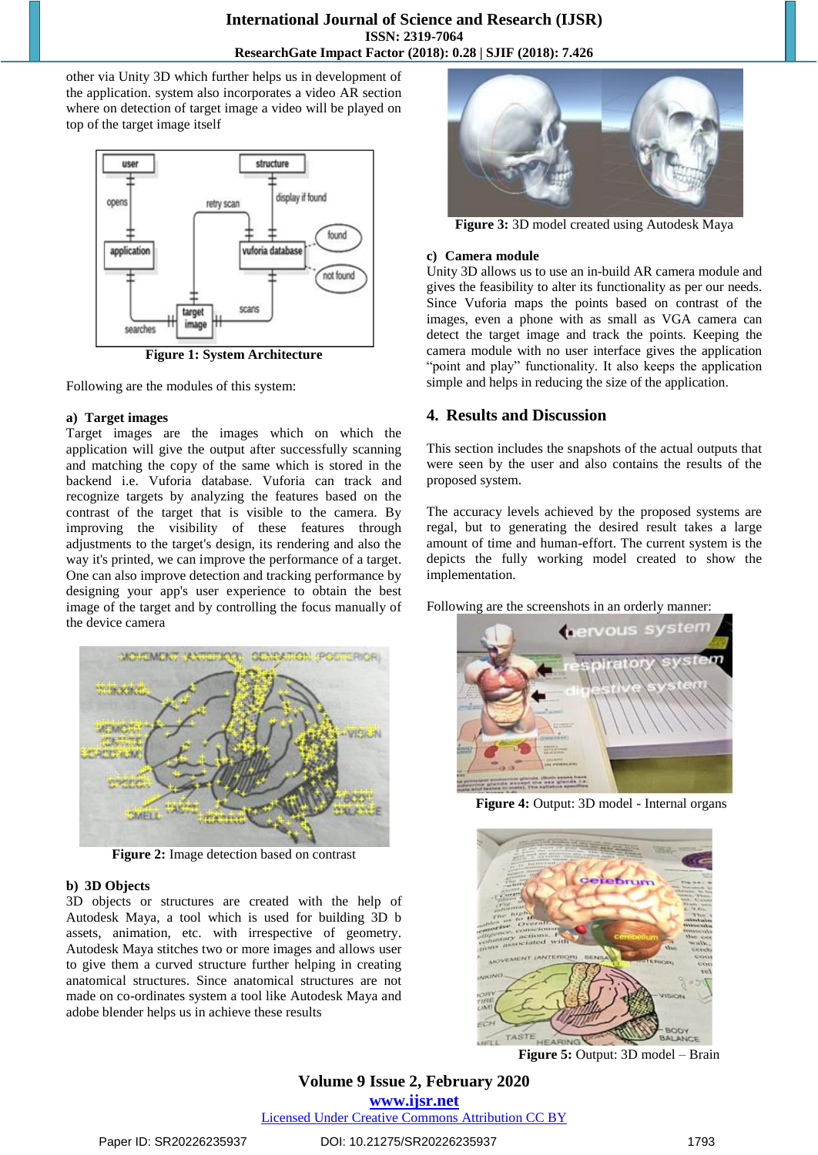other via Unity 3D which further helps us in development of the application. system also incorporates a video AR section where on detection of target image a video will be played on top of the target image itself



**Figure 1: System Architecture**

Following are the modules of this system:

#### **a) Target images**

Target images are the images which on which the application will give the output after successfully scanning and matching the copy of the same which is stored in the backend i.e. Vuforia database. Vuforia can track and recognize targets by analyzing the features based on the contrast of the target that is visible to the camera. By improving the visibility of these features through adjustments to the target's design, its rendering and also the way it's printed, we can improve the performance of a target. One can also improve detection and tracking performance by designing your app's user experience to obtain the best image of the target and by controlling the focus manually of the device camera



**Figure 2:** Image detection based on contrast

#### **b) 3D Objects**

3D objects or structures are created with the help of Autodesk Maya, a tool which is used for building 3D b assets, animation, etc. with irrespective of geometry. Autodesk Maya stitches two or more images and allows user to give them a curved structure further helping in creating anatomical structures. Since anatomical structures are not made on co-ordinates system a tool like Autodesk Maya and adobe blender helps us in achieve these results



**Figure 3:** 3D model created using Autodesk Maya

#### **c) Camera module**

Unity 3D allows us to use an in-build AR camera module and gives the feasibility to alter its functionality as per our needs. Since Vuforia maps the points based on contrast of the images, even a phone with as small as VGA camera can detect the target image and track the points. Keeping the camera module with no user interface gives the application "point and play" functionality. It also keeps the application simple and helps in reducing the size of the application.

## **4. Results and Discussion**

This section includes the snapshots of the actual outputs that were seen by the user and also contains the results of the proposed system.

The accuracy levels achieved by the proposed systems are regal, but to generating the desired result takes a large amount of time and human-effort. The current system is the depicts the fully working model created to show the implementation.

Following are the screenshots in an orderly manner:



**Figure 4:** Output: 3D model - Internal organs



**Figure 5:** Output: 3D model – Brain